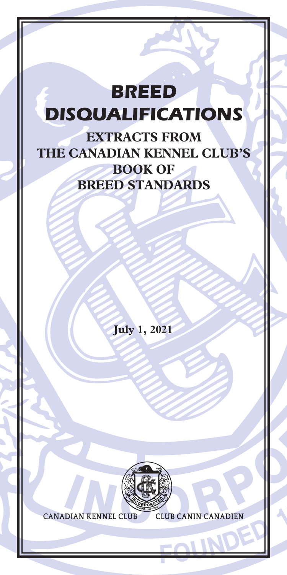# *BREED DISQUALIFICATIONS*

**EXTRACTS FROM THE CANADIAN KENNEL CLUB'S BOOK OF BREED STANDARDS**

**July 1, 2021**



**CANADIAN KENNEL CLUB CLUB CANIN CANADIEN**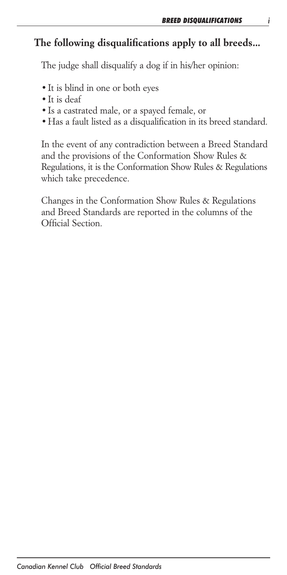# *The following disqualifications apply to all breeds...*

 *The judge shall disqualify a dog if in his/her opinion:*

- *•It is blind in one or both eyes*
- *•It is deaf*
- *•Is a castrated male, or a spayed female, or*
- *•Has a fault listed as a disqualification in its breed standard.*

 *In the event of any contradiction between a Breed Standard and the provisions of the Conformation Show Rules & Regulations, it is the Conformation Show Rules & Regulations which take precedence.*

 *Changes in the Conformation Show Rules & Regulations and Breed Standards are reported in the columns of the Official Section.*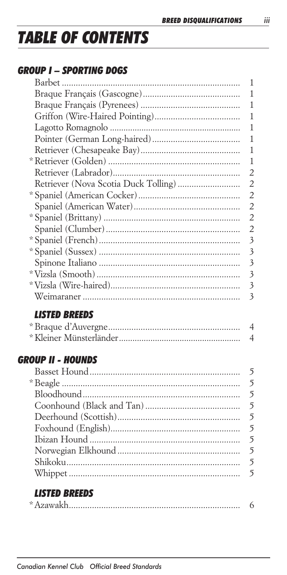# **TABLE OF CONTENTS**

# **GROUP I - SPORTING DOGS**

| 1 |
|---|
| 1 |
| 1 |
| 1 |
| 1 |
| 1 |
| 1 |
| 1 |
| 2 |
| 2 |
| 2 |
| 2 |
| 2 |
| 2 |
| 3 |
| 3 |
| 3 |
| 3 |
| 3 |
| 3 |
|   |

# **LISTED BREEDS**

# **GROUP II - HOUNDS**

# **LISTED BREEDS**

|--|--|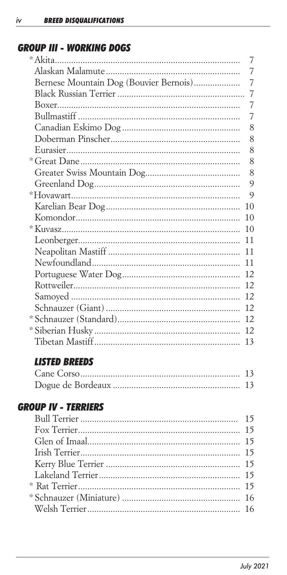# **GROUP III - WORKING DOGS**

|                                        | $\overline{7}$ |
|----------------------------------------|----------------|
|                                        | 7              |
| Bernese Mountain Dog (Bouvier Bernois) | $\overline{7}$ |
|                                        | $\overline{7}$ |
|                                        | $\overline{7}$ |
|                                        | $\overline{7}$ |
|                                        | 8              |
|                                        | 8              |
|                                        | 8              |
|                                        | 8              |
|                                        | 8              |
|                                        | 9              |
|                                        | 9              |
|                                        | 10             |
|                                        | 10             |
|                                        | 10             |
|                                        | 11             |
|                                        | 11             |
|                                        | 11             |
|                                        | 12             |
|                                        | 12             |
|                                        | 12             |
|                                        | 12             |
|                                        | 12             |
|                                        | 12             |
|                                        | 13             |
|                                        |                |

# **LISTED BREEDS**

# **GROUP IV - TERRIERS**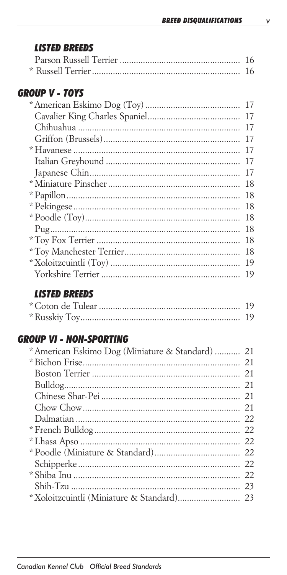# **LISTED BREEDS**

# **GROUP V - TOYS**

| 17 |
|----|
| 17 |
| 17 |
| 17 |
| 17 |
| 17 |
| 17 |
| 18 |
| 18 |
| 18 |
| 18 |
| 18 |
| 18 |
| 18 |
| 19 |
| 19 |
|    |

# **LISTED BREEDS**

# **GROUP VI - NON-SPORTING**

| * American Eskimo Dog (Miniature & Standard)  21 |  |
|--------------------------------------------------|--|
|                                                  |  |
|                                                  |  |
|                                                  |  |
|                                                  |  |
|                                                  |  |
|                                                  |  |
|                                                  |  |
|                                                  |  |
|                                                  |  |
|                                                  |  |
|                                                  |  |
|                                                  |  |
|                                                  |  |
|                                                  |  |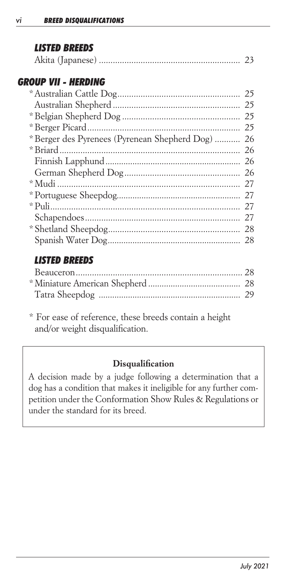# *LISTED BREEDS*

|--|--|--|--|

# *GROUP VII - HERDING*

|                                               | 25 |
|-----------------------------------------------|----|
|                                               | 25 |
|                                               | 25 |
|                                               | 25 |
| * Berger des Pyrenees (Pyrenean Shepherd Dog) | 26 |
|                                               | 26 |
|                                               | 26 |
|                                               | 26 |
|                                               | 27 |
|                                               | 27 |
|                                               | 27 |
|                                               | 27 |
|                                               | 28 |
|                                               | 28 |
|                                               |    |

# *LISTED BREEDS*

*\* For ease of reference, these breeds contain a height and/or weight disqualification.*

# *Disqualification*

*A decision made by a judge following a determination that a dog has a condition that makes it ineligible for any further competition under the Conformation Show Rules & Regulations or under the standard for its breed.*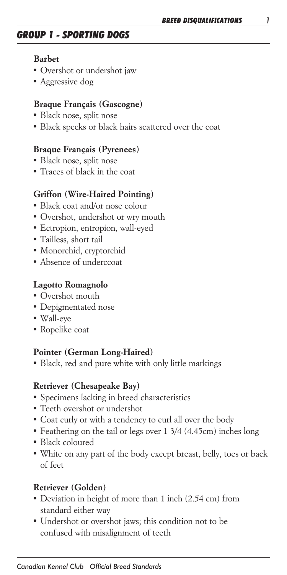# *GROUP 1 - SPORTING DOGS*

#### *Barbet*

- *• Overshot or undershot jaw*
- *• Aggressive dog*

#### *Braque Français (Gascogne)*

- *• Black nose, split nose*
- *• Black specks or black hairs scattered over the coat*

#### *Braque Français (Pyrenees)*

- *• Black nose, split nose*
- *• Traces of black in the coat*

#### *Griffon (Wire-Haired Pointing)*

- *• Black coat and/or nose colour*
- *• Overshot, undershot or wry mouth*
- *• Ectropion, entropion, wall-eyed*
- *• Tailless, short tail*
- *• Monorchid, cryptorchid*
- *• Absence of underccoat*

#### *Lagotto Romagnolo*

- *• Overshot mouth*
- *• Depigmentated nose*
- *• Wall-eye*
- *• Ropelike coat*

#### *Pointer (German Long-Haired)*

*• Black, red and pure white with only little markings*

#### *Retriever (Chesapeake Bay)*

- *• Specimens lacking in breed characteristics*
- *• Teeth overshot or undershot*
- *• Coat curly or with a tendency to curl all over the body*
- *• Feathering on the tail or legs over 1 3/4 (4.45cm) inches long*
- *• Black coloured*
- *• White on any part of the body except breast, belly, toes or back of feet*

#### *Retriever (Golden)*

- *• Deviation in height of more than 1 inch (2.54 cm) from standard either way*
- *• Undershot or overshot jaws; this condition not to be confused with misalignment of teeth*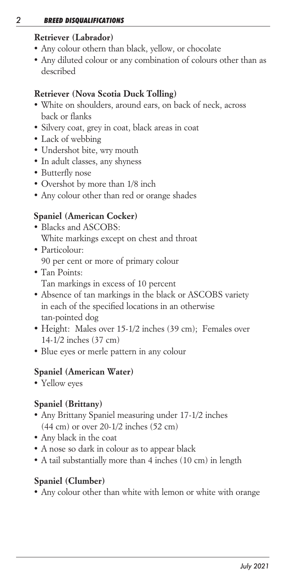#### *2 BREED DISQUALIFICATIONS*

#### *Retriever (Labrador)*

- *• Any colour othern than black, yellow, or chocolate*
- *• Any diluted colour or any combination of colours other than as described*

# *Retriever (Nova Scotia Duck Tolling)*

- *• White on shoulders, around ears, on back of neck, across back or flanks*
- *• Silvery coat, grey in coat, black areas in coat*
- *• Lack of webbing*
- *• Undershot bite, wry mouth*
- *• In adult classes, any shyness*
- *• Butterfly nose*
- *• Overshot by more than 1/8 inch*
- *• Any colour other than red or orange shades*

# *Spaniel (American Cocker)*

- *• Blacks and ASCOBS: White markings except on chest and throat*
- *• Particolour: 90 per cent or more of primary colour*
- *Tan Points: Tan markings in excess of 10 percent*
- *• Absence of tan markings in the black or ASCOBS variety in each of the specified locations in an otherwise tan-pointed dog*
- *• Height: Males over 15-1/2 inches (39 cm); Females over 14-1/2 inches (37 cm)*
- *Blue eyes or merle pattern in any colour*

### *Spaniel (American Water)*

*• Yellow eyes*

# *Spaniel (Brittany)*

- *• Any Brittany Spaniel measuring under 17-1/2 inches (44 cm) or over 20-1/2 inches (52 cm)*
- *• Any black in the coat*
- *• A nose so dark in colour as to appear black*
- *• A tail substantially more than 4 inches (10 cm) in length*

# *Spaniel (Clumber)*

*• Any colour other than white with lemon or white with orange*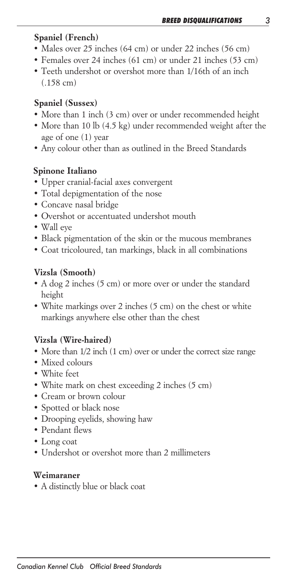# *Spaniel (French)*

- *• Males over 25 inches (64 cm) or under 22 inches (56 cm)*
- *• Females over 24 inches (61 cm) or under 21 inches (53 cm)*
- *• Teeth undershot or overshot more than 1/16th of an inch (.158 cm)*

# *Spaniel (Sussex)*

- *• More than 1 inch (3 cm) over or under recommended height*
- *• More than 10 lb (4.5 kg) under recommended weight after the age of one (1) year*
- *• Any colour other than as outlined in the Breed Standards*

# *Spinone Italiano*

- *• Upper cranial-facial axes convergent*
- *• Total depigmentation of the nose*
- *• Concave nasal bridge*
- *• Overshot or accentuated undershot mouth*
- *• Wall eye*
- *• Black pigmentation of the skin or the mucous membranes*
- *• Coat tricoloured, tan markings, black in all combinations*

# *Vizsla (Smooth)*

- *• A dog 2 inches (5 cm) or more over or under the standard height*
- *• White markings over 2 inches (5 cm) on the chest or white markings anywhere else other than the chest*

# *Vizsla (Wire-haired)*

- *• More than 1/2 inch (1 cm) over or under the correct size range*
- *• Mixed colours*
- *• White feet*
- *• White mark on chest exceeding 2 inches (5 cm)*
- *• Cream or brown colour*
- *• Spotted or black nose*
- *• Drooping eyelids, showing haw*
- *• Pendant flews*
- *• Long coat*
- *• Undershot or overshot more than 2 millimeters*

### *Weimaraner*

*• A distinctly blue or black coat*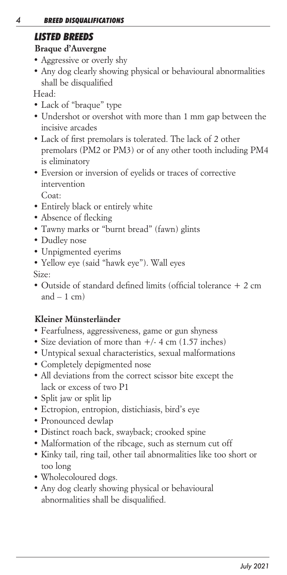# *LISTED BREEDS*

# *Braque d'Auvergne*

- *Aggressive or overly shy*
- *Any dog clearly showing physical or behavioural abnormalities shall be disqualified*

*Head:*

- *Lack of "braque" type*
- Undershot or overshot with more than 1 mm gap between the *incisive arcades*
- Lack of first premolars is tolerated. The lack of 2 other *premolars (PM2 or PM3) or of any other tooth including PM4 is eliminatory*
- *Eversion or inversion of eyelids or traces of corrective intervention*

 *Coat:*

- *Entirely black or entirely white*
- *Absence of flecking*
- *Tawny marks or "burnt bread" (fawn) glints*
- *Dudley nose*
- *Unpigmented eyerims*
- *Yellow eye (said "hawk eye"). Wall eyes*

*Size:*

*• Outside of standard defined limits (official tolerance + 2 cm and – 1 cm)*

# *Kleiner Münsterländer*

- *Fearfulness, aggressiveness, game or gun shyness*
- *Size deviation of more than +/- 4 cm (1.57 inches)*
- *Untypical sexual characteristics, sexual malformations*
- *Completely depigmented nose*
- *All deviations from the correct scissor bite except the lack or excess of two P1*
- *Split jaw or split lip*
- *Ectropion, entropion, distichiasis, bird's eye*
- *Pronounced dewlap*
- *Distinct roach back, swayback; crooked spine*
- *Malformation of the ribcage, such as sternum cut off*
- *Kinky tail, ring tail, other tail abnormalities like too short or too long*
- *Wholecoloured dogs.*
- *Any dog clearly showing physical or behavioural abnormalities shall be disqualified.*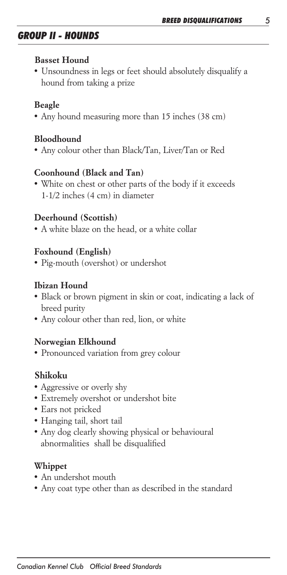# *GROUP II - HOUNDS*

#### *Basset Hound*

*• Unsoundness in legs or feet should absolutely disqualify a hound from taking a prize*

# *Beagle*

*• Any hound measuring more than 15 inches (38 cm)*

# *Bloodhound*

*• Any colour other than Black/Tan, Liver/Tan or Red*

# *Coonhound (Black and Tan)*

*• White on chest or other parts of the body if it exceeds 1-1/2 inches (4 cm) in diameter*

# *Deerhound (Scottish)*

*• A white blaze on the head, or a white collar*

# *Foxhound (English)*

*• Pig-mouth (overshot) or undershot*

# *Ibizan Hound*

- *• Black or brown pigment in skin or coat, indicating a lack of breed purity*
- *• Any colour other than red, lion, or white*

### *Norwegian Elkhound*

*• Pronounced variation from grey colour*

# *Shikoku*

- *Aggressive or overly shy*
- *Extremely overshot or undershot bite*
- *Ears not pricked*
- *Hanging tail, short tail*
- *Any dog clearly showing physical or behavioural abnormalities shall be disqualified*

### *Whippet*

- *• An undershot mouth*
- *• Any coat type other than as described in the standard*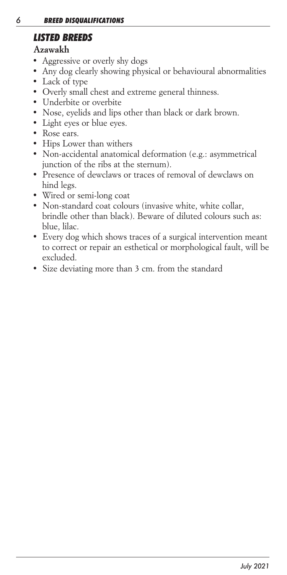# *LISTED BREEDS*

# *Azawakh*

- *Aggressive or overly shy dogs*
- *Any dog clearly showing physical or behavioural abnormalities*
- *Lack of type*
- *Overly small chest and extreme general thinness.*
- *Underbite or overbite*
- *Nose, eyelids and lips other than black or dark brown.*
- *Light eyes or blue eyes.*
- *Rose ears.*
- *Hips Lower than withers*
- *Non-accidental anatomical deformation (e.g.: asymmetrical junction of the ribs at the sternum).*
- *Presence of dewclaws or traces of removal of dewclaws on hind legs.*
- *Wired or semi-long coat*
- *Non-standard coat colours (invasive white, white collar, brindle other than black). Beware of diluted colours such as: blue, lilac.*
- *Every dog which shows traces of a surgical intervention meant to correct or repair an esthetical or morphological fault, will be excluded.*
- *Size deviating more than 3 cm. from the standard*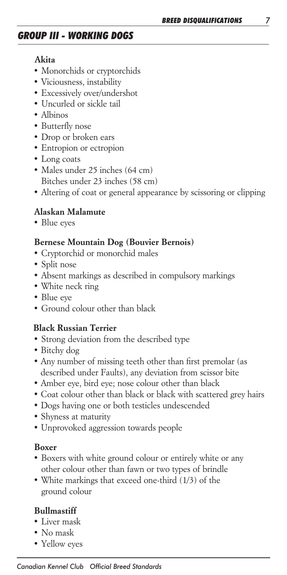# *GROUP III - WORKING DOGS*

#### *Akita*

- *• Monorchids or cryptorchids*
- *• Viciousness, instability*
- *• Excessively over/undershot*
- *• Uncurled or sickle tail*
- *• Albinos*
- *• Butterfly nose*
- *• Drop or broken ears*
- *• Entropion or ectropion*
- *• Long coats*
- *• Males under 25 inches (64 cm) Bitches under 23 inches (58 cm)*
- *• Altering of coat or general appearance by scissoring or clipping*

#### *Alaskan Malamute*

*• Blue eyes*

#### *Bernese Mountain Dog (Bouvier Bernois)*

- *• Cryptorchid or monorchid males*
- *• Split nose*
- *• Absent markings as described in compulsory markings*
- *• White neck ring*
- *• Blue eye*
- *• Ground colour other than black*

#### *Black Russian Terrier*

- *Strong deviation from the described type*
- *Bitchy dog*
- *Any number of missing teeth other than first premolar (as described under Faults), any deviation from scissor bite*
- *Amber eye, bird eye; nose colour other than black*
- *Coat colour other than black or black with scattered grey hairs*
- *Dogs having one or both testicles undescended*
- *Shyness at maturity*
- *Unprovoked aggression towards people*

#### *Boxer*

- *• Boxers with white ground colour or entirely white or any other colour other than fawn or two types of brindle*
- *• White markings that exceed one-third (1/3) of the ground colour*

#### *Bullmastiff*

- *• Liver mask*
- *• No mask*
- *• Yellow eyes*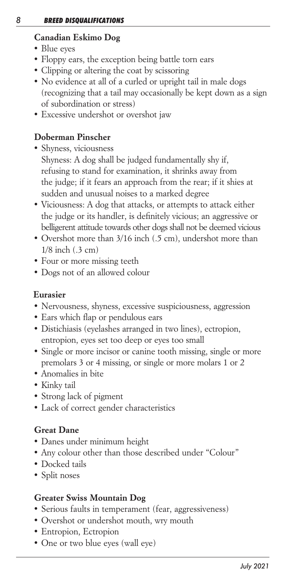# *Canadian Eskimo Dog*

- *• Blue eyes*
- *• Floppy ears, the exception being battle torn ears*
- *• Clipping or altering the coat by scissoring*
- *• No evidence at all of a curled or upright tail in male dogs (recognizing that a tail may occasionally be kept down as a sign of subordination or stress)*
- *• Excessive undershot or overshot jaw*

# *Doberman Pinscher*

- *• Shyness, viciousness Shyness: A dog shall be judged fundamentally shy if, refusing to stand for examination, it shrinks away from the judge; if it fears an approach from the rear; if it shies at sudden and unusual noises to a marked degree*
- *• Viciousness: A dog that attacks, or attempts to attack either the judge or its handler, is definitely vicious; an aggressive or belligerent attitude towards other dogs shall not be deemed vicious*
- *• Overshot more than 3/16 inch (.5 cm), undershot more than 1/8 inch (.3 cm)*
- *• Four or more missing teeth*
- *• Dogs not of an allowed colour*

# *Eurasier*

- *• Nervousness, shyness, excessive suspiciousness, aggression*
- *• Ears which flap or pendulous ears*
- *• Distichiasis (eyelashes arranged in two lines), ectropion, entropion, eyes set too deep or eyes too small*
- *• Single or more incisor or canine tooth missing, single or more premolars 3 or 4 missing, or single or more molars 1 or 2*
- *• Anomalies in bite*
- *• Kinky tail*
- *• Strong lack of pigment*
- *• Lack of correct gender characteristics*

# *Great Dane*

- *• Danes under minimum height*
- *Any colour other than those described under "Colour"*
- *• Docked tails*
- *• Split noses*

# *Greater Swiss Mountain Dog*

- *• Serious faults in temperament (fear, aggressiveness)*
- *• Overshot or undershot mouth, wry mouth*
- *• Entropion, Ectropion*
- *• One or two blue eyes (wall eye)*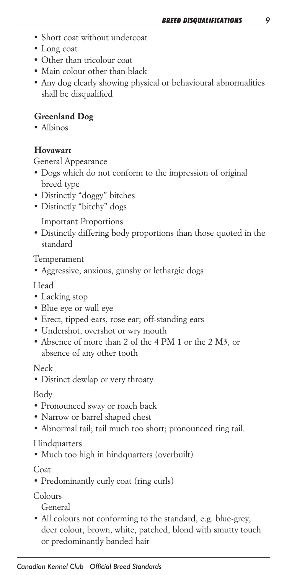- *• Short coat without undercoat*
- *• Long coat*
- *• Other than tricolour coat*
- *• Main colour other than black*
- *• Any dog clearly showing physical or behavioural abnormalities shall be disqualified*

#### *Greenland Dog*

*• Albinos*

#### *Hovawart*

*General Appearance*

- *• Dogs which do not conform to the impression of original breed type*
- *• Distinctly "doggy" bitches*
- *• Distinctly "bitchy" dogs*

 *Important Proportions*

*• Distinctly differing body proportions than those quoted in the standard*

*Temperament*

*• Aggressive, anxious, gunshy or lethargic dogs*

*Head*

- *• Lacking stop*
- *• Blue eye or wall eye*
- *• Erect, tipped ears, rose ear; off-standing ears*
- *• Undershot, overshot or wry mouth*
- *• Absence of more than 2 of the 4 PM 1 or the 2 M3, or absence of any other tooth*

#### *Neck*

*• Distinct dewlap or very throaty*

#### *Body*

- *• Pronounced sway or roach back*
- *• Narrow or barrel shaped chest*
- *• Abnormal tail; tail much too short; pronounced ring tail.*

#### *Hindquarters*

*• Much too high in hindquarters (overbuilt)*

#### *Coat*

*• Predominantly curly coat (ring curls)*

*Colours*

 *General*

*• All colours not conforming to the standard, e.g. blue-grey, deer colour, brown, white, patched, blond with smutty touch or predominantly banded hair*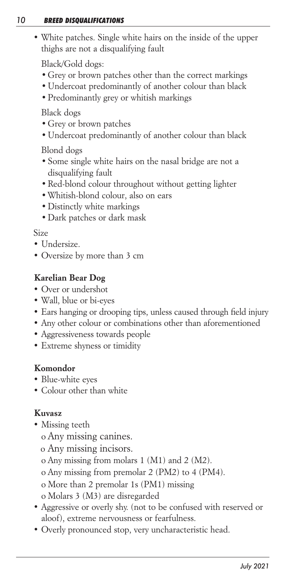#### *10 BREED DISQUALIFICATIONS*

*• White patches. Single white hairs on the inside of the upper thighs are not a disqualifying fault*

 *Black/Gold dogs:*

- *•Grey or brown patches other than the correct markings*
- *•Undercoat predominantly of another colour than black*
- *•Predominantly grey or whitish markings*

 *Black dogs*

- *•Grey or brown patches*
- *•Undercoat predominantly of another colour than black*

*Blond dogs*

- *•Some single white hairs on the nasal bridge are not a disqualifying fault*
- *•Red-blond colour throughout without getting lighter*
- *•Whitish-blond colour, also on ears*
- *•Distinctly white markings*
- *•Dark patches or dark mask*

#### *Size*

- *• Undersize.*
- *• Oversize by more than 3 cm*

# *Karelian Bear Dog*

- *• Over or undershot*
- *• Wall, blue or bi-eyes*
- *• Ears hanging or drooping tips, unless caused through field injury*
- *• Any other colour or combinations other than aforementioned*
- *• Aggressiveness towards people*
- *• Extreme shyness or timidity*

### *Komondor*

- *• Blue-white eyes*
- *• Colour other than white*

### *Kuvasz*

- *• Missing teeth*
	- *o Any missing canines.*
	- *o Any missing incisors.*
	- *o Any missing from molars 1 (M1) and 2 (M2).*
	- *o Any missing from premolar 2 (PM2) to 4 (PM4).*
	- *o More than 2 premolar 1s (PM1) missing*
	- *o Molars 3 (M3) are disregarded*
- *• Aggressive or overly shy. (not to be confused with reserved or aloof), extreme nervousness or fearfulness.*
- *• Overly pronounced stop, very uncharacteristic head.*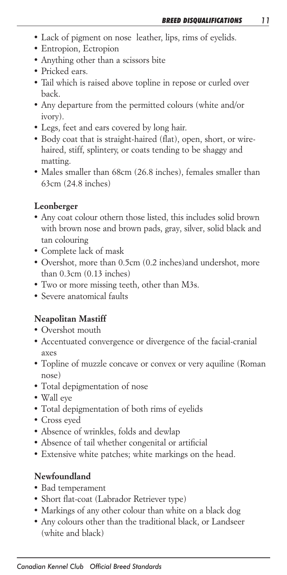- *• Lack of pigment on nose leather, lips, rims of eyelids.*
- *• Entropion, Ectropion*
- *• Anything other than a scissors bite*
- *• Pricked ears.*
- *• Tail which is raised above topline in repose or curled over back.*
- *• Any departure from the permitted colours (white and/or ivory).*
- *• Legs, feet and ears covered by long hair.*
- *• Body coat that is straight-haired (flat), open, short, or wirehaired, stiff, splintery, or coats tending to be shaggy and matting.*
- *• Males smaller than 68cm (26.8 inches), females smaller than 63cm (24.8 inches)*

#### *Leonberger*

- *• Any coat colour othern those listed, this includes solid brown with brown nose and brown pads, gray, silver, solid black and tan colouring*
- *• Complete lack of mask*
- *• Overshot, more than 0.5cm (0.2 inches)and undershot, more than 0.3cm (0.13 inches)*
- *• Two or more missing teeth, other than M3s.*
- *• Severe anatomical faults*

### *Neapolitan Mastiff*

- *• Overshot mouth*
- *• Accentuated convergence or divergence of the facial-cranial axes*
- *• Topline of muzzle concave or convex or very aquiline (Roman nose)*
- *• Total depigmentation of nose*
- *• Wall eye*
- *• Total depigmentation of both rims of eyelids*
- *• Cross eyed*
- *• Absence of wrinkles, folds and dewlap*
- *• Absence of tail whether congenital or artificial*
- *• Extensive white patches; white markings on the head.*

### *Newfoundland*

- *• Bad temperament*
- *• Short flat-coat (Labrador Retriever type)*
- *• Markings of any other colour than white on a black dog*
- *• Any colours other than the traditional black, or Landseer (white and black)*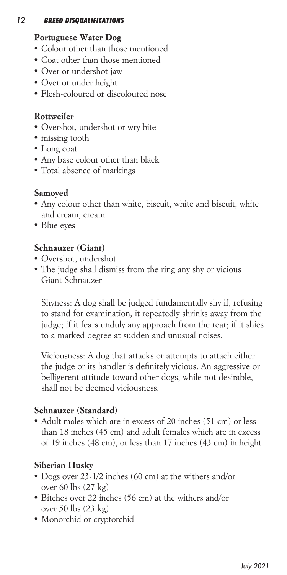#### *12 BREED DISQUALIFICATIONS*

### *Portuguese Water Dog*

- *• Colour other than those mentioned*
- *• Coat other than those mentioned*
- *• Over or undershot jaw*
- *• Over or under height*
- *• Flesh-coloured or discoloured nose*

# *Rottweiler*

- *• Overshot, undershot or wry bite*
- *• missing tooth*
- *• Long coat*
- *• Any base colour other than black*
- *• Total absence of markings*

# *Samoyed*

- *• Any colour other than white, biscuit, white and biscuit, white and cream, cream*
- *• Blue eyes*

### *Schnauzer (Giant)*

- *• Overshot, undershot*
- *• The judge shall dismiss from the ring any shy or vicious Giant Schnauzer*

 *Shyness: A dog shall be judged fundamentally shy if, refusing*  to stand for examination, it repeatedly shrinks away from the *judge; if it fears unduly any approach from the rear; if it shies to a marked degree at sudden and unusual noises.*

 *Viciousness: A dog that attacks or attempts to attach either the judge or its handler is definitely vicious. An aggressive or belligerent attitude toward other dogs, while not desirable, shall not be deemed viciousness.*

### *Schnauzer (Standard)*

*• Adult males which are in excess of 20 inches (51 cm) or less than 18 inches (45 cm) and adult females which are in excess of 19 inches (48 cm), or less than 17 inches (43 cm) in height*

# *Siberian Husky*

- *• Dogs over 23-1/2 inches (60 cm) at the withers and/or over 60 lbs (27 kg)*
- *• Bitches over 22 inches (56 cm) at the withers and/or over 50 lbs (23 kg)*
- *• Monorchid or cryptorchid*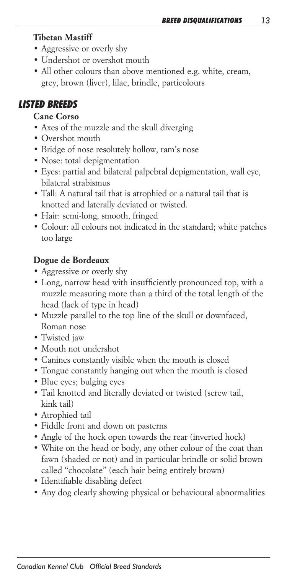# *Tibetan Mastiff*

- *• Aggressive or overly shy*
- *• Undershot or overshot mouth*
- *• All other colours than above mentioned e.g. white, cream, grey, brown (liver), lilac, brindle, particolours*

# *LISTED BREEDS*

# *Cane Corso*

- *• Axes of the muzzle and the skull diverging*
- *• Overshot mouth*
- *• Bridge of nose resolutely hollow, ram's nose*
- *• Nose: total depigmentation*
- *• Eyes: partial and bilateral palpebral depigmentation, wall eye, bilateral strabismus*
- *• Tall: A natural tail that is atrophied or a natural tail that is knotted and laterally deviated or twisted.*
- *• Hair: semi-long, smooth, fringed*
- *• Colour: all colours not indicated in the standard; white patches too large*

# *Dogue de Bordeaux*

- *• Aggressive or overly shy*
- *• Long, narrow head with insufficiently pronounced top, with a*  muzzle measuring more than a third of the total length of the *head (lack of type in head)*
- *• Muzzle parallel to the top line of the skull or downfaced, Roman nose*
- *• Twisted jaw*
- *• Mouth not undershot*
- *• Canines constantly visible when the mouth is closed*
- *• Tongue constantly hanging out when the mouth is closed*
- *• Blue eyes; bulging eyes*
- *• Tail knotted and literally deviated or twisted (screw tail, kink tail)*
- *• Atrophied tail*
- *• Fiddle front and down on pasterns*
- *• Angle of the hock open towards the rear (inverted hock)*
- *• White on the head or body, any other colour of the coat than fawn (shaded or not) and in particular brindle or solid brown called "chocolate" (each hair being entirely brown)*
- *• Identifiable disabling defect*
- *• Any dog clearly showing physical or behavioural abnormalities*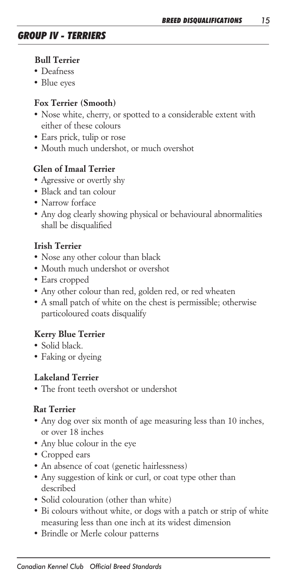#### *Bull Terrier*

- *• Deafness*
- *• Blue eyes*

#### *Fox Terrier (Smooth)*

- *• Nose white, cherry, or spotted to a considerable extent with either of these colours*
- *• Ears prick, tulip or rose*
- *• Mouth much undershot, or much overshot*

### *Glen of Imaal Terrier*

- *• Agressive or overtly shy*
- *• Black and tan colour*
- *• Narrow forface*
- *• Any dog clearly showing physical or behavioural abnormalities shall be disqualified*

### *Irish Terrier*

- *• Nose any other colour than black*
- *• Mouth much undershot or overshot*
- *• Ears cropped*
- *• Any other colour than red, golden red, or red wheaten*
- *• A small patch of white on the chest is permissible; otherwise particoloured coats disqualify*

### *Kerry Blue Terrier*

- *• Solid black.*
- *• Faking or dyeing*

#### *Lakeland Terrier*

*• The front teeth overshot or undershot*

#### *Rat Terrier*

- *• Any dog over six month of age measuring less than 10 inches, or over 18 inches*
- *• Any blue colour in the eye*
- *• Cropped ears*
- *• An absence of coat (genetic hairlessness)*
- *• Any suggestion of kink or curl, or coat type other than described*
- *• Solid colouration (other than white)*
- *• Bi colours without white, or dogs with a patch or strip of white measuring less than one inch at its widest dimension*
- *• Brindle or Merle colour patterns*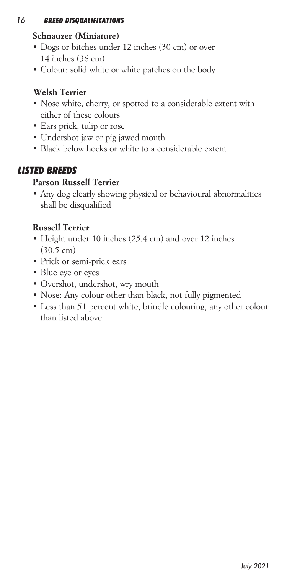# *Schnauzer (Miniature)*

- *• Dogs or bitches under 12 inches (30 cm) or over 14 inches (36 cm)*
- *• Colour: solid white or white patches on the body*

# *Welsh Terrier*

- *• Nose white, cherry, or spotted to a considerable extent with either of these colours*
- *• Ears prick, tulip or rose*
- *• Undershot jaw or pig jawed mouth*
- *• Black below hocks or white to a considerable extent*

# *LISTED BREEDS*

#### *Parson Russell Terrier*

*• Any dog clearly showing physical or behavioural abnormalities shall be disqualified*

### *Russell Terrier*

- *• Height under 10 inches (25.4 cm) and over 12 inches (30.5 cm)*
- *• Prick or semi-prick ears*
- *• Blue eye or eyes*
- *• Overshot, undershot, wry mouth*
- *• Nose: Any colour other than black, not fully pigmented*
- *• Less than 51 percent white, brindle colouring, any other colour than listed above*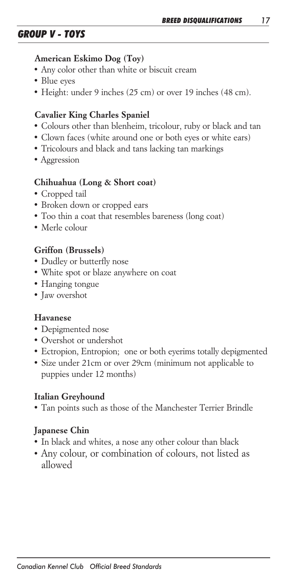# *GROUP V - TOYS*

#### *American Eskimo Dog (Toy)*

- *• Any color other than white or biscuit cream*
- *• Blue eyes*
- *• Height: under 9 inches (25 cm) or over 19 inches (48 cm).*

# *Cavalier King Charles Spaniel*

- *• Colours other than blenheim, tricolour, ruby or black and tan*
- *• Clown faces (white around one or both eyes or white ears)*
- *• Tricolours and black and tans lacking tan markings*
- *Aggression*

### *Chihuahua (Long & Short coat)*

- *• Cropped tail*
- *• Broken down or cropped ears*
- *• Too thin a coat that resembles bareness (long coat)*
- *• Merle colour*

# *Griffon (Brussels)*

- *• Dudley or butterfly nose*
- *• White spot or blaze anywhere on coat*
- *• Hanging tongue*
- *• Jaw overshot*

### *Havanese*

- *• Depigmented nose*
- *• Overshot or undershot*
- *• Ectropion, Entropion; one or both eyerims totally depigmented*
- *• Size under 21cm or over 29cm (minimum not applicable to puppies under 12 months)*

### *Italian Greyhound*

*• Tan points such as those of the Manchester Terrier Brindle*

# *Japanese Chin*

- *• In black and whites, a nose any other colour than black*
- *• Any colour, or combination of colours, not listed as allowed*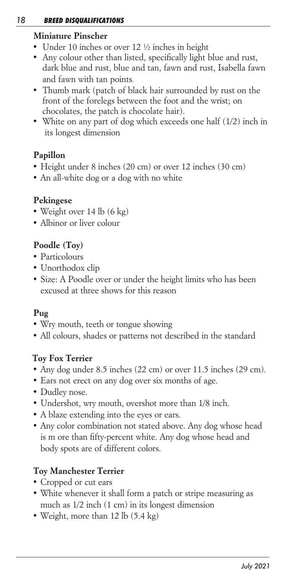#### *18 BREED DISQUALIFICATIONS*

# *Miniature Pinscher*

- *Under 10 inches or over 12 ½ inches in height*
- *Any colour other than listed, specifically light blue and rust, dark blue and rust, blue and tan, fawn and rust, Isabella fawn and fawn with tan points.*
- *Thumb mark (patch of black hair surrounded by rust on the*  front of the forelegs between the foot and the wrist; on  *chocolates, the patch is chocolate hair).*
- White on any part of dog which exceeds one half (1/2) inch in  *its longest dimension*

# *Papillon*

- *• Height under 8 inches (20 cm) or over 12 inches (30 cm)*
- *• An all-white dog or a dog with no white*

# *Pekingese*

- *• Weight over 14 lb (6 kg)*
- *• Albinor or liver colour*

# *Poodle (Toy)*

- *• Particolours*
- *• Unorthodox clip*
- *• Size: A Poodle over or under the height limits who has been excused at three shows for this reason*

# *Pug*

- *• Wry mouth, teeth or tongue showing*
- *• All colours, shades or patterns not described in the standard*

# *Toy Fox Terrier*

- *• Any dog under 8.5 inches (22 cm) or over 11.5 inches (29 cm).*
- *• Ears not erect on any dog over six months of age.*
- *• Dudley nose.*
- *• Undershot, wry mouth, overshot more than 1/8 inch.*
- *• A blaze extending into the eyes or ears.*
- *• Any color combination not stated above. Any dog whose head is m ore than fifty-percent white. Any dog whose head and body spots are of different colors.*

# *Toy Manchester Terrier*

- *• Cropped or cut ears*
- *• White whenever it shall form a patch or stripe measuring as much as 1/2 inch (1 cm) in its longest dimension*
- *• Weight, more than 12 lb (5.4 kg)*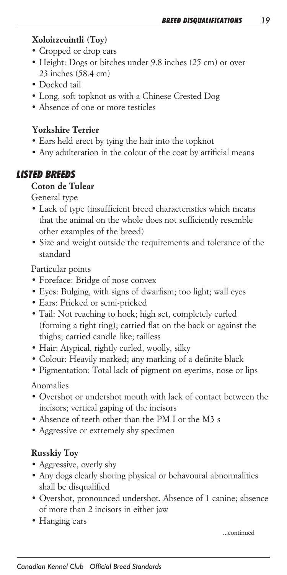# *Xoloitzcuintli (Toy)*

- *• Cropped or drop ears*
- *• Height: Dogs or bitches under 9.8 inches (25 cm) or over 23 inches (58.4 cm)*
- *• Docked tail*
- *• Long, soft topknot as with a Chinese Crested Dog*
- *• Absence of one or more testicles*

# *Yorkshire Terrier*

- *• Ears held erect by tying the hair into the topknot*
- *• Any adulteration in the colour of the coat by artificial means*

# *LISTED BREEDS*

# *Coton de Tulear*

*General type*

- *• Lack of type (insufficient breed characteristics which means that the animal on the whole does not sufficiently resemble other examples of the breed)*
- *• Size and weight outside the requirements and tolerance of the standard*

*Particular points*

- *• Foreface: Bridge of nose convex*
- *• Eyes: Bulging, with signs of dwarfism; too light; wall eyes*
- *• Ears: Pricked or semi-pricked*
- *• Tail: Not reaching to hock; high set, completely curled (forming a tight ring); carried flat on the back or against the thighs; carried candle like; tailless*
- *• Hair: Atypical, rightly curled, woolly, silky*
- *• Colour: Heavily marked; any marking of a definite black*
- *• Pigmentation: Total lack of pigment on eyerims, nose or lips*

*Anomalies*

- *• Overshot or undershot mouth with lack of contact between the incisors; vertical gaping of the incisors*
- *• Absence of teeth other than the PM I or the M3 s*
- *• Aggressive or extremely shy specimen*

# *Russkiy Toy*

- *• Aggressive, overly shy*
- *• Any dogs clearly shoring physical or behavoural abnormalities shall be disqualified*
- *• Overshot, pronounced undershot. Absence of 1 canine; absence of more than 2 incisors in either jaw*
- *• Hanging ears*

 *...continued*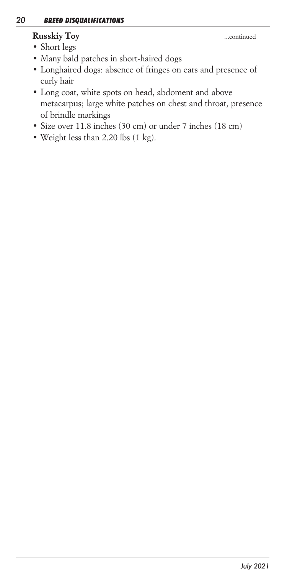# *Russkiy Toy ...continued*

- *• Short legs*
- *• Many bald patches in short-haired dogs*
- *• Longhaired dogs: absence of fringes on ears and presence of curly hair*
- *• Long coat, white spots on head, abdoment and above metacarpus; large white patches on chest and throat, presence of brindle markings*
- *• Size over 11.8 inches (30 cm) or under 7 inches (18 cm)*
- *• Weight less than 2.20 lbs (1 kg).*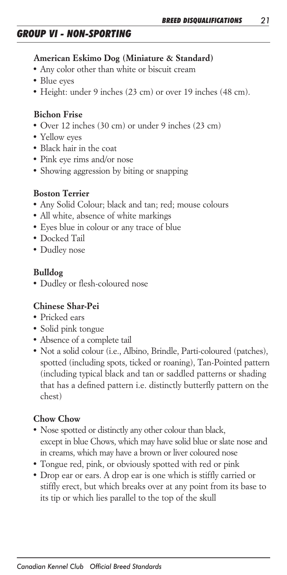# *GROUP VI - NON-SPORTING*

#### *American Eskimo Dog (Miniature & Standard)*

- *• Any color other than white or biscuit cream*
- *• Blue eyes*
- *• Height: under 9 inches (23 cm) or over 19 inches (48 cm).*

#### *Bichon Frise*

- *• Over 12 inches (30 cm) or under 9 inches (23 cm)*
- *• Yellow eyes*
- *• Black hair in the coat*
- *• Pink eye rims and/or nose*
- *• Showing aggression by biting or snapping*

#### *Boston Terrier*

- *• Any Solid Colour; black and tan; red; mouse colours*
- *• All white, absence of white markings*
- *• Eyes blue in colour or any trace of blue*
- *• Docked Tail*
- *• Dudley nose*

#### *Bulldog*

*• Dudley or flesh-coloured nose*

#### *Chinese Shar-Pei*

- *• Pricked ears*
- *• Solid pink tongue*
- *• Absence of a complete tail*
- *• Not a solid colour (i.e., Albino, Brindle, Parti-coloured (patches),*  spotted (including spots, ticked or roaning), Tan-Pointed pattern *(including typical black and tan or saddled patterns or shading that has a defined pattern i.e. distinctly butterfly pattern on the chest)*

#### *Chow Chow*

- *• Nose spotted or distinctly any other colour than black, except in blue Chows, which may have solid blue or slate nose and in creams, which may have a brown or liver coloured nose*
- *• Tongue red, pink, or obviously spotted with red or pink*
- *• Drop ear or ears. A drop ear is one which is stiffly carried or stiffly erect, but which breaks over at any point from its base to its tip or which lies parallel to the top of the skull*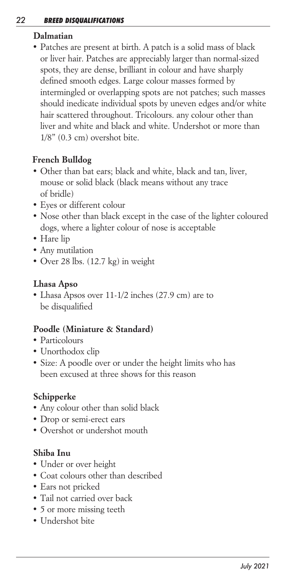# *Dalmatian*

*• Patches are present at birth. A patch is a solid mass of black or liver hair. Patches are appreciably larger than normal-sized spots, they are dense, brilliant in colour and have sharply defined smooth edges. Large colour masses formed by intermingled or overlapping spots are not patches; such masses should inedicate individual spots by uneven edges and/or white hair scattered throughout. Tricolours. any colour other than liver and white and black and white. Undershot or more than 1/8" (0.3 cm) overshot bite.*

# *French Bulldog*

- *• Other than bat ears; black and white, black and tan, liver, mouse or solid black (black means without any trace of bridle)*
- *• Eyes or different colour*
- *• Nose other than black except in the case of the lighter coloured dogs, where a lighter colour of nose is acceptable*
- *• Hare lip*
- *• Any mutilation*
- *• Over 28 lbs. (12.7 kg) in weight*

# *Lhasa Apso*

*• Lhasa Apsos over 11-1/2 inches (27.9 cm) are to be disqualified*

### *Poodle (Miniature & Standard)*

- *• Particolours*
- *• Unorthodox clip*
- *• Size: A poodle over or under the height limits who has been excused at three shows for this reason*

# *Schipperke*

- *• Any colour other than solid black*
- *• Drop or semi-erect ears*
- *• Overshot or undershot mouth*

# *Shiba Inu*

- *• Under or over height*
- *• Coat colours other than described*
- *• Ears not pricked*
- *• Tail not carried over back*
- *• 5 or more missing teeth*
- *• Undershot bite*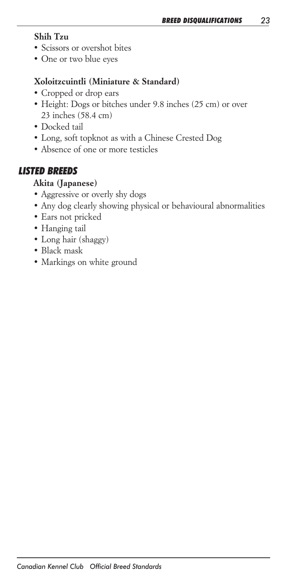## *Shih Tzu*

- *• Scissors or overshot bites*
- *• One or two blue eyes*

# *Xoloitzcuintli (Miniature & Standard)*

- *• Cropped or drop ears*
- *• Height: Dogs or bitches under 9.8 inches (25 cm) or over 23 inches (58.4 cm)*
- *• Docked tail*
- *• Long, soft topknot as with a Chinese Crested Dog*
- *• Absence of one or more testicles*

# *LISTED BREEDS*

# *Akita (Japanese)*

- *• Aggressive or overly shy dogs*
- *• Any dog clearly showing physical or behavioural abnormalities*
- *• Ears not pricked*
- *• Hanging tail*
- *• Long hair (shaggy)*
- *• Black mask*
- *• Markings on white ground*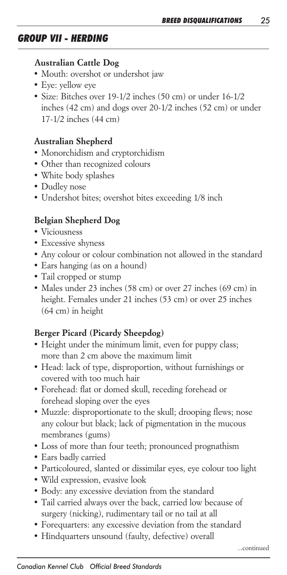# *GROUP VII - HERDING*

#### *Australian Cattle Dog*

- *• Mouth: overshot or undershot jaw*
- *• Eye: yellow eye*
- *• Size: Bitches over 19-1/2 inches (50 cm) or under 16-1/2* inches (42 cm) and dogs over 20-1/2 inches (52 cm) or under *17-1/2 inches (44 cm)*

# *Australian Shepherd*

- *• Monorchidism and cryptorchidism*
- *• Other than recognized colours*
- *• White body splashes*
- *• Dudley nose*
- *• Undershot bites; overshot bites exceeding 1/8 inch*

# *Belgian Shepherd Dog*

- *• Viciousness*
- *• Excessive shyness*
- *• Any colour or colour combination not allowed in the standard*
- *• Ears hanging (as on a hound)*
- *• Tail cropped or stump*
- *• Males under 23 inches (58 cm) or over 27 inches (69 cm) in height. Females under 21 inches (53 cm) or over 25 inches (64 cm) in height*

### *Berger Picard (Picardy Sheepdog)*

- *• Height under the minimum limit, even for puppy class; more than 2 cm above the maximum limit*
- *• Head: lack of type, disproportion, without furnishings or covered with too much hair*
- *• Forehead: flat or domed skull, receding forehead or forehead sloping over the eyes*
- *• Muzzle: disproportionate to the skull; drooping flews; nose any colour but black; lack of pigmentation in the mucous membranes (gums)*
- *• Loss of more than four teeth; pronounced prognathism*
- *• Ears badly carried*
- *• Particoloured, slanted or dissimilar eyes, eye colour too light*
- *• Wild expression, evasive look*
- *• Body: any excessive deviation from the standard*
- *• Tail carried always over the back, carried low because of surgery (nicking), rudimentary tail or no tail at all*
- *• Forequarters: any excessive deviation from the standard*
- *• Hindquarters unsound (faulty, defective) overall*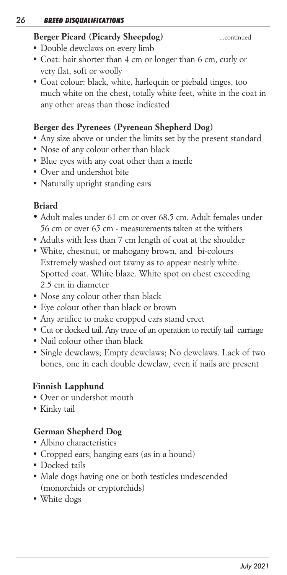#### *26 BREED DISQUALIFICATIONS*

# *Berger Picard (Picardy Sheepdog) ...continued*

- *• Double dewclaws on every limb*
- *• Coat: hair shorter than 4 cm or longer than 6 cm, curly or very flat, soft or woolly*
- *• Coat colour: black, white, harlequin or piebald tinges, too* much white on the chest, totally white feet, white in the coat in *any other areas than those indicated*

# *Berger des Pyrenees (Pyrenean Shepherd Dog)*

- *• Any size above or under the limits set by the present standard*
- *• Nose of any colour other than black*
- *• Blue eyes with any coat other than a merle*
- *• Over and undershot bite*
- *• Naturally upright standing ears*

# *Briard*

- *• Adult males under 61 cm or over 68.5 cm. Adult females under 56 cm or over 65 cm - measurements taken at the withers*
- *• Adults with less than 7 cm length of coat at the shoulder*
- *• White, chestnut, or mahogany brown, and bi-colours Extremely washed out tawny as to appear nearly white. Spotted coat. White blaze. White spot on chest exceeding 2.5 cm in diameter*
- *• Nose any colour other than black*
- *• Eye colour other than black or brown*
- *• Any artifice to make cropped ears stand erect*
- *• Cut or docked tail. Any trace of an operation to rectify tail carriage*
- *• Nail colour other than black*
- *• Single dewclaws; Empty dewclaws; No dewclaws. Lack of two bones, one in each double dewclaw, even if nails are present*

# *Finnish Lapphund*

- *Over or undershot mouth*
- *Kinky tail*

# *German Shepherd Dog*

- *• Albino characteristics*
- *• Cropped ears; hanging ears (as in a hound)*
- *• Docked tails*
- *• Male dogs having one or both testicles undescended (monorchids or cryptorchids)*
- *• White dogs*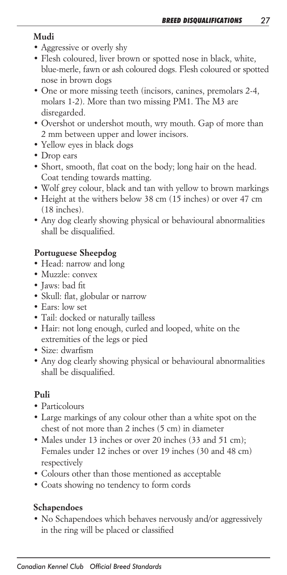# *Mudi*

- *• Aggressive or overly shy*
- *• Flesh coloured, liver brown or spotted nose in black, white, blue-merle, fawn or ash coloured dogs. Flesh coloured or spotted nose in brown dogs*
- *• One or more missing teeth (incisors, canines, premolars 2-4,*  molars 1-2). More than two missing PM1. The M3 are *disregarded.*
- *• Overshot or undershot mouth, wry mouth. Gap of more than 2 mm between upper and lower incisors.*
- *• Yellow eyes in black dogs*
- *• Drop ears*
- *• Short, smooth, flat coat on the body; long hair on the head. Coat tending towards matting.*
- *• Wolf grey colour, black and tan with yellow to brown markings*
- *• Height at the withers below 38 cm (15 inches) or over 47 cm (18 inches).*
- *• Any dog clearly showing physical or behavioural abnormalities shall be disqualified.*

# *Portuguese Sheepdog*

- *• Head: narrow and long*
- *• Muzzle: convex*
- *• Jaws: bad fit*
- *• Skull: flat, globular or narrow*
- *• Ears: low set*
- *• Tail: docked or naturally tailless*
- *• Hair: not long enough, curled and looped, white on the extremities of the legs or pied*
- *• Size: dwarfism*
- *• Any dog clearly showing physical or behavioural abnormalities shall be disqualified.*

### *Puli*

- *• Particolours*
- Large markings of any colour other than a white spot on the *chest of not more than 2 inches (5 cm) in diameter*
- *• Males under 13 inches or over 20 inches (33 and 51 cm); Females under 12 inches or over 19 inches (30 and 48 cm) respectively*
- *• Colours other than those mentioned as acceptable*
- *• Coats showing no tendency to form cords*

### *Schapendoes*

*• No Schapendoes which behaves nervously and/or aggressively in the ring will be placed or classified*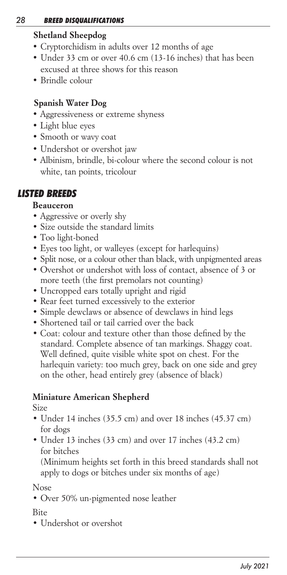### *28 BREED DISQUALIFICATIONS*

# *Shetland Sheepdog*

- *• Cryptorchidism in adults over 12 months of age*
- *• Under 33 cm or over 40.6 cm (13-16 inches) that has been excused at three shows for this reason*
- *• Brindle colour*

# *Spanish Water Dog*

- *Aggressiveness or extreme shyness*
- *Light blue eyes*
- *Smooth or wavy coat*
- *Undershot or overshot jaw*
- Albinism, brindle, bi-colour where the second colour is not *white, tan points, tricolour*

# *LISTED BREEDS*

# *Beauceron*

- *Aggressive or overly shy*
- *Size outside the standard limits*
- *Too light-boned*
- *Eyes too light, or walleyes (except for harlequins)*
- *Split nose, or a colour other than black, with unpigmented areas*
- *Overshot or undershot with loss of contact, absence of 3 or more teeth (the first premolars not counting)*
- *Uncropped ears totally upright and rigid*
- *Rear feet turned excessively to the exterior*
- *Simple dewclaws or absence of dewclaws in hind legs*
- *Shortened tail or tail carried over the back*
- *Coat: colour and texture other than those defined by the standard. Complete absence of tan markings. Shaggy coat. Well defined, quite visible white spot on chest. For the harlequin variety: too much grey, back on one side and grey on the other, head entirely grey (absence of black)*

# *Miniature American Shepherd*

# *Size*

- *• Under 14 inches (35.5 cm) and over 18 inches (45.37 cm) for dogs*
- *• Under 13 inches (33 cm) and over 17 inches (43.2 cm) for bitches*

 *(Minimum heights set forth in this breed standards shall not apply to dogs or bitches under six months of age)*

# *Nose*

*• Over 50% un-pigmented nose leather*

# *Bite*

*• Undershot or overshot*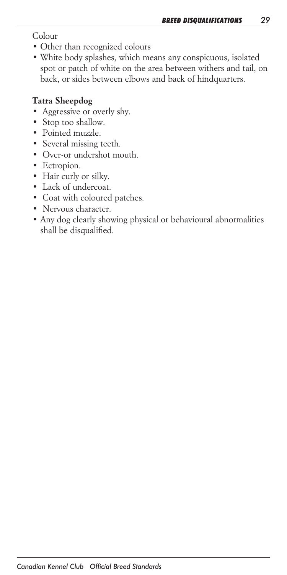*Colour*

- *• Other than recognized colours*
- *• White body splashes, which means any conspicuous, isolated*  spot or patch of white on the area between withers and tail, on *back, or sides between elbows and back of hindquarters.*

# *Tatra Sheepdog*

- *Aggressive or overly shy.*
- *Stop too shallow.*
- *Pointed muzzle.*
- *Several missing teeth.*
- *Over-or undershot mouth.*
- *Ectropion.*
- *Hair curly or silky.*
- *Lack of undercoat.*
- *Coat with coloured patches.*
- *Nervous character.*
- *• Any dog clearly showing physical or behavioural abnormalities shall be disqualified.*